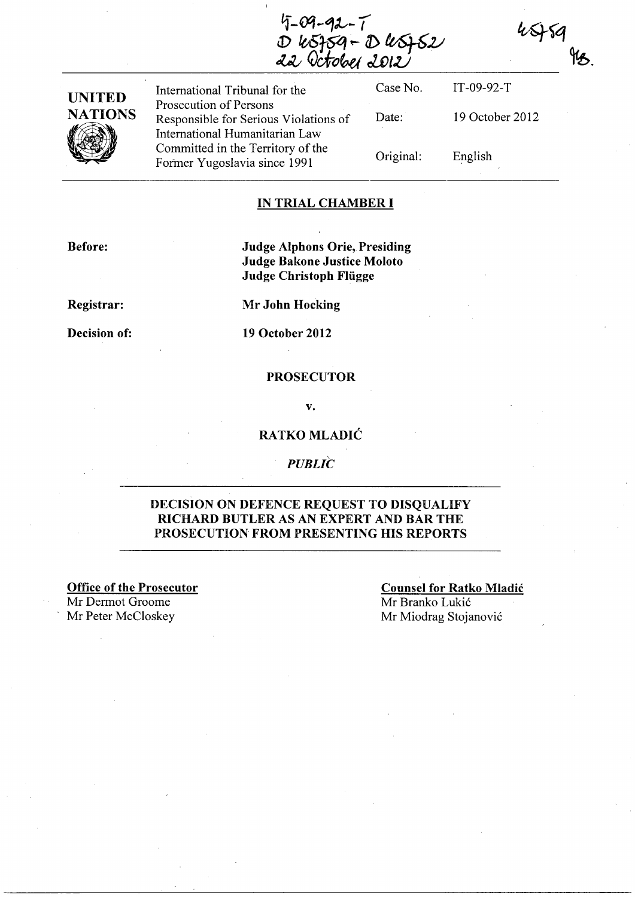$4 - 09 - 92 - 7$ D k5759-D k5752



International Tribunal for the Prosecution of Persons Responsible for Serious Violations of International Humanitarian Law Committed in the Territory of the Former Yugoslavia since 1991

Case No. Date: Original: IT-09-92-T 19 October 2012 English

\$79

#### IN TRIAL CHAMBER I

Before:

Judge Alphons Orie, Presiding Judge Bakone Justice Moloto Judge Christoph Fliigge

Registrar:

Mr John Hocking

Decision of:

19 October 2012

### PROSECUTOR

v.

### RATKO MLADIĆ

**PUBLIC** 

## DECISION ON DEFENCE REQUEST TO DISQUALIFY RICHARD BUTLER AS AN EXPERT AND BAR THE PROSECUTION FROM PRESENTING HIS REPORTS

Office of the Prosecutor Mr Dermot Groome Mr Peter McCloskey Mr Miodrag Stojanović

Counsel for Ratko Mladic Mr Branko Lukić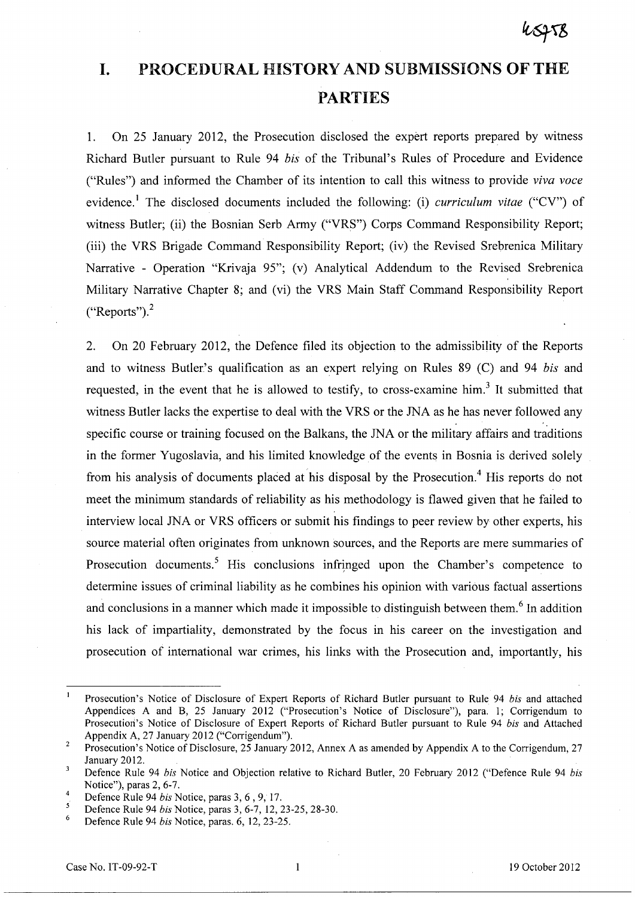# **I. PROCEDURAL HISTORY AND SUBMISSIONS OF THE PARTIES**

1. On 25 January 2012, the Prosecution disclosed the expert reports prepared by witness Richard Butler pursuant to Rule 94 *bis* of the Tribunal's Rules of Procedure and Evidence ("Rules") and informed the Chamber of its intention to call this witness to provide *viva voce*  evidence. I The disclosed documents included the following: (i) *curriculum vitae* ("CV") of witness Butler; (ii) the Bosnian Serb Army ("VRS") Corps Command Responsibility Report; (iii) the VRS Brigade Command Responsibility Report; (iv) the Revised Srebrenica Military Narrative - Operation "Krivaja 95"; (v) Analytical Addendum to the Revised Srebrenica Military Narrative Chapter 8; and (vi) the VRS Main Staff Command Responsibility Report  $("Reports").<sup>2</sup>$ 

2. On 20 February 2012, the Defence filed its objection to the admissibility of the Reports and to witness Butler's qualification as an expert relying on Rules 89 (C) and 94 *bis* and requested, in the event that he is allowed to testify, to cross-examine him.<sup>3</sup> It submitted that witness Butler lacks the expertise to deal with the VRS or the JNA as he has never followed any specific course or training focused on the Balkans, the JNA or the military affairs and traditions in the former Yugoslavia, and his limited knowledge of the events in Bosnia is derived solely from his analysis of documents placed at his disposal by the Prosecution.<sup>4</sup> His reports do not meet the minimum standards of reliability as his methodology is flawed given that he failed to interview local JNA or VRS officers or submit his findings to peer review by other experts, his source material often originates from unknown sources, and the Reports are mere summaries of Prosecution documents.<sup>5</sup> His conclusions infringed upon the Chamber's competence to determine issues of criminal liability as he combines his opinion with various factual assertions and conclusions in a manner which made it impossible to distinguish between them.<sup>6</sup> In addition his lack of impartiality, demonstrated by the focus in his career on the investigation and prosecution of international war crimes, his links with the Prosecution and, importantly, his

Prosecution's Notice of Disclosure of Expert Reports of Richard Butler pursuant to Rule 94 *bis* and attached Appendices A and B, 25 January 2012 ("Prosecution's Notice of Disclosure"), para. 1; Corrigendum to Prosecutiori's Notice of Disclosure of Expert Reports of Richard Butler pursuant to Rule 94 *bis* and Attached Appendix A, 27 January 2012 ("Corrigendum").

<sup>2</sup>  Prosecution's Notice of Disclosure, 25 January 2012, Annex A as amended by Appendix A to the Corrigendum, 27 January 2012.

 $\overline{3}$ Defence Rule 94 *bis* Notice and Objection relative to Richard Butler, 20 February 2012 ("Defence Rule 94 *bis*  Notice"), paras 2, 6-7.

<sup>4</sup>  Defence Rule 94 *bis* Notice, paras 3, 6 , 9, 17.

Defence Rule 94 *bis* Notice, paras 3, 6-7,12,23-25,28-30.

<sup>6</sup>  Defence Rule 94 *bis* Notice, paras. 6, 12,23-25.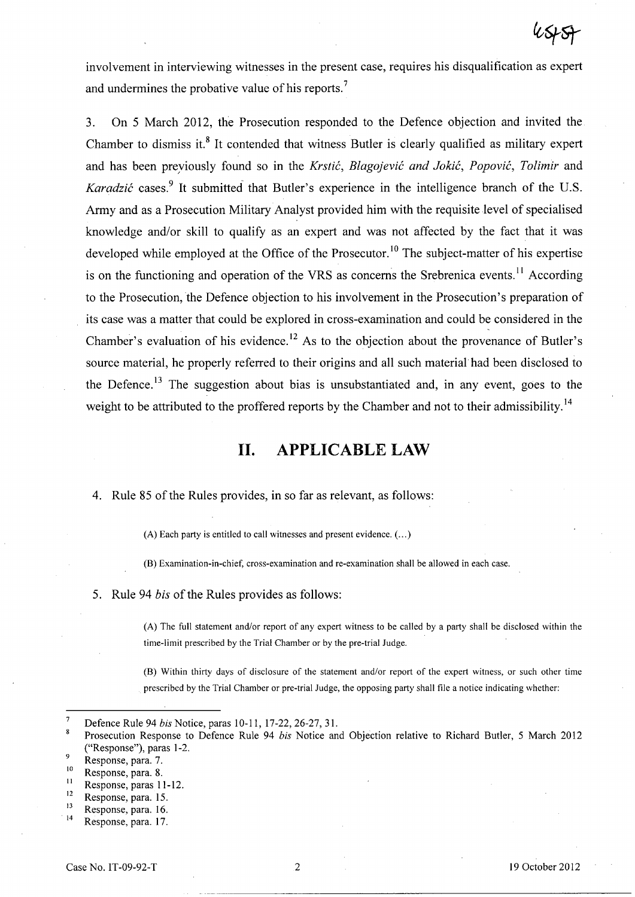involvement in interviewing witnesses in the present case, requires his disqualification as expert and undermines the probative value of his reports.?

3. On 5 March 2012, the Prosecution responded to the Defence objection and invited the Chamber to dismiss it.<sup>8</sup> It contended that witness Butler is clearly qualified as military expert and has been preyiously found so in the *Krstic, Blagojevic and Jokic, Popovic, Tolimir* and *Karadzić* cases.<sup>9</sup> It submitted that Butler's experience in the intelligence branch of the U.S. Army and as a Prosecution Military Analyst provided him with the requisite level of specialised knowledge and/or skill to qualify as an expert and was not affected by the fact that it was developed while employed at the Office of the Prosecutor.<sup>10</sup> The subject-matter of his expertise is on the functioning and operation of the VRS as concerns the Srebrenica events.<sup>11</sup> According to the Prosecution, the Defence objection to his involvement in the Prosecution's preparation of its case was a matter that could be explored in cross-examination and could be considered in the ~ Chamber's evaluation of his evidence.<sup>12</sup> As to the objection about the provenance of Butler's source material, he properly referred to their origins and all such material had been disclosed to the Defence.<sup>13</sup> The suggestion about bias is unsubstantiated and, in any event, goes to the weight to be attributed to the proffered reports by the Chamber and not to their admissibility.<sup>14</sup>

# **11. APPLICABLE LAW**

## 4. Rule 85 of the Rules provides, in so far as relevant, as follows:

(A) Each party is entitled to call witnesses and present evidence. ( ... )

(B) Examination-in-chief, cross-examination and re-examination shall be allowed in each case.

5. Rule 94 *bis* of the Rules provides as follows:

(A) The full statement and/or report of any expert witness to be called by a party shall be disclosed within the time-limit prescribed by the Trial Chamber or by the pre-trial Judge.

(B) Within thirty days of disclosure of the statement and/or report of the expert witness, or such other time prescribed by the Trial Chamber or pre-trial Judge, the opposing party shall file a notice indicating whether:

 $12$  Response, para. 15.

Defence Rule 94 *bis* Notice, paras 10-11, 17-22,26-27, 31.

 $\bf{8}$ Prosecution Response to Defence Rule 94 *bis* Notice and Objection relative to Richard Butler, 5 March 2012 ("Response"), paras 1-2.

 $^{9}$  Response, para. 7.

 $\frac{10}{11}$  Response, para. 8.

 $\frac{11}{12}$  Response, paras 11-12.

 $13$  Response, para. 16.

Response, para. 17.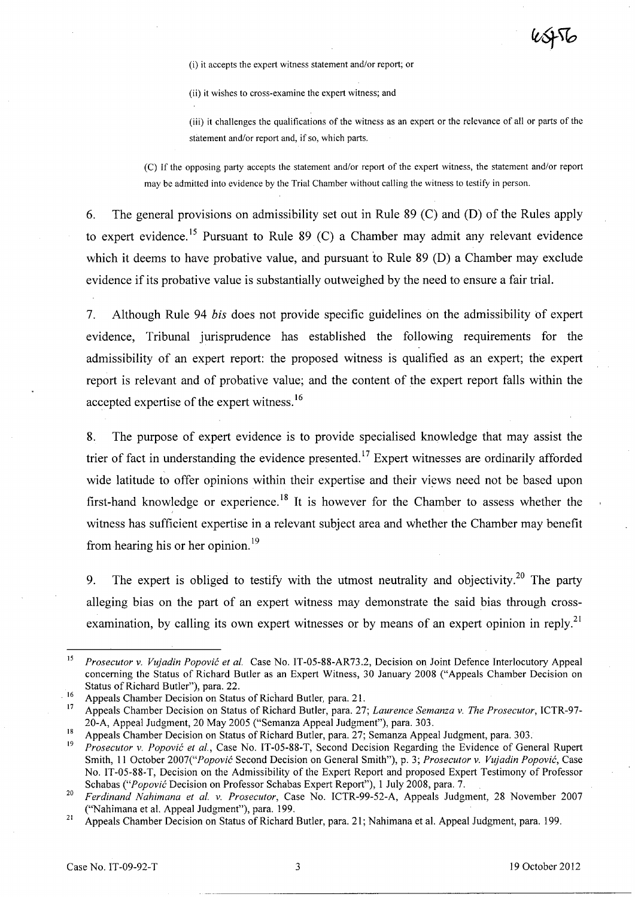(i) it accepts the expert witness statement and/or report; or

(ii) it wishes to cross-examine the expert witness; and

(iii) it challenges the qualifications of the witness as an expert or the relevance of all or parts of the statement and/or report and, if so, which parts.

(C) If the opposing party accepts the statement and/or report of the expert witness, the statement and/or report may be admitted into evidence by the Trial Chamber without calling the witness to testify in person.

6. The general provisions on admissibility set out in Rule 89 (C) and (D) of the Rules apply to expert evidence.<sup>15</sup> Pursuant to Rule 89 (C) a Chamber may admit any relevant evidence which it deems to have probative value, and pursuant to Rule 89 (D) a Chamber may exclude evidence if its probative value is substantially outweighed by the need to ensure a fair trial.

7. Although Rule 94 *bis* does not provide specific guidelines on the admissibility of expert evidence, Tribunal jurisprudence has established the following requirements for the admissibility of an expert report: the proposed witness is qualified as an expert; the expert report is relevant and of probative value; and the content of the expert report falls within the accepted expertise of the expert witness.<sup>16</sup>

8. The purpose of expert evidence is to provide specialised knowledge that may assist the trier of fact in understanding the evidence presented.<sup>17</sup> Expert witnesses are ordinarily afforded wide latitude to offer opinions within their expertise and their views need not be based upon first-hand knowledge or experience.<sup>18</sup> It is however for the Chamber to assess whether the witness has sufficient expertise in a relevant subject area and whether the Chamber may benefit from hearing his or her opinion.<sup>19</sup>

9. The expert is obliged to testify with the utmost neutrality and objectivity.<sup>20</sup> The party alleging bias on the part of an expert witness may demonstrate the said bias through crossexamination, by calling its own expert witnesses or by means of an expert opinion in reply.<sup>21</sup>

<sup>15</sup>*Prosecutor* v. *Vujadin Popovic et al.* Case No. IT-05-88-AR73.2, Decision on Joint Defence Interlocutory Appeal concerning the Status of Richard Butler as an Expert Witness, 30 January 2008 ("Appeals Chamber Decision on Status of Richard Butler"), para. 22.

<sup>&</sup>lt;sup>16</sup> Appeals Chamber Decision on Status of Richard Butler, para. 21.

<sup>17</sup> Appeals Chamber Decision on Status of Richard Butler, para. 27; *Laurence Semanza* v. *The Prosecutor,* ICTR-97- 20-A, Appeal Judgment, 20 May 2005 ("Semanza Appeal Judgment"), para. 303.

<sup>&</sup>lt;sup>18</sup> Appeals Chamber Decision on Status of Richard Butler, para. 27; Semanza Appeal Judgment, para. 303.

<sup>19</sup>*Prosecutor* v. *Popovic et al.,* Case No. IT-05-88-T, Second Decision Regarding the Evidence of General Rupert Smith, 11 October *2007("Popovic* Second Decision on General Smith"), p. 3; *Prosecutor* v. *Vujadin Popovic,* Case No. IT-05-88-T, Decision on the Admissibility of the Expert Report and proposed Expert Testimony of Professor Schabas *("Popovic* Decision on Professor Schabas Expert Report"), 1 July 2008, para. 7.

*<sup>20</sup> Ferdinand Nahimana et al.* v. *Prosecutor,* Case No. ICTR-99-52-A, Appeals Judgment, 28 November 2007 ("Nahimana et al. Appeal Judgment"), para. 199.

<sup>&</sup>lt;sup>21</sup> Appeals Chamber Decision on Status of Richard Butler, para. 21; Nahimana et al. Appeal Judgment, para. 199.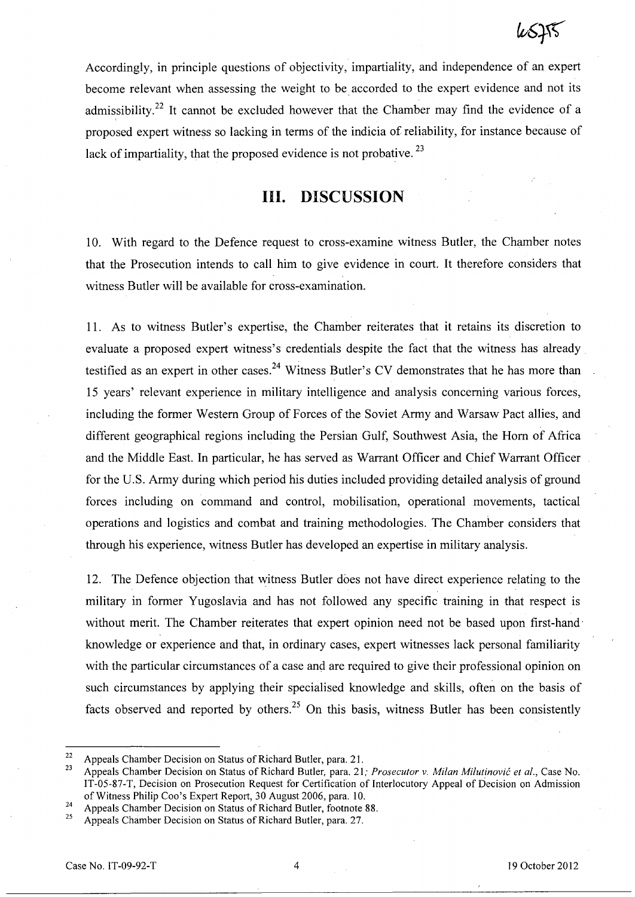Accordingly, in principle questions of objectivity, impartiality, and independence of an expert become relevant when assessing the weight to be accorded to the expert evidence and not its admissibility.<sup>22</sup> It cannot be excluded however that the Chamber may find the evidence of a proposed expert witness so lacking in terms of the indicia of reliability, for instance because of lack of impartiality, that the proposed evidence is not probative.  $^{23}$ 

## **Ill. DISCUSSION**

10. With regard to the Defence request to cross-examine witness Butler, the Chamber notes that the Prosecution intends to call him to give evidence in court. It therefore considers that witness Butler will be available for cross-examination.

11. As to witness Butler's expertise, the Chamber reiterates that it retains its discretion to evaluate a proposed expert witness's credentials despite the fact that the witness has already testified as an expert in other cases.<sup>24</sup> Witness Butler's CV demonstrates that he has more than 15 years' relevant experience in military intelligence and analysis concerning various forces, including the former Western Group of Forces of the Soviet Army and Warsaw Pact allies, and different geographical regions including the Persian Gulf, Southwest Asia, the Horn of Africa and the Middle East. In particular, he has served as Warrant Officer and Chief Warrant Officer for the U.S. Army during which period his duties included providing detailed analysis of ground forces including on command and control, mobilisation, operational movements, tactical operations and logistics and combat and training methodologies. The Chamber considers that through his experience, witness Butler has developed an expertise in military analysis.

12. The Defence objection that witness Butler does not have direct experience relating to the military in former Yugoslavia and has not followed any specific training in that respect is without merit. The Chamber reiterates that expert opinion need not be based upon first-hand knowledge or experience and that, in ordinary cases, expert witnesses lack personal familiarity with the particular circumstances of a case and are required to give their professional opinion on such circumstances by applying their specialised knowledge and skills, often on the basis of facts observed and reported by others.<sup>25</sup> On this basis, witness Butler has been consistently

<sup>&</sup>lt;sup>22</sup> Appeals Chamber Decision on Status of Richard Butler, para. 21.

<sup>23</sup> Appeals Chamber Decision on Status of Richard Butler, para. 21; *Prosecutor* v. *Milan Milutinovic et al.,* Case No. IT-05-87-T, Decision on Prosecution Request for Certification of Interlocutory Appeal of Decision on Admission of Witness Philip Coo's Expert Report, 30 August 2006, para. 10.

<sup>&</sup>lt;sup>24</sup> Appeals Chamber Decision on Status of Richard Butler, footnote 88.

<sup>25</sup> Appeals Chamber Decision on Status of Richard Butler, para. 27.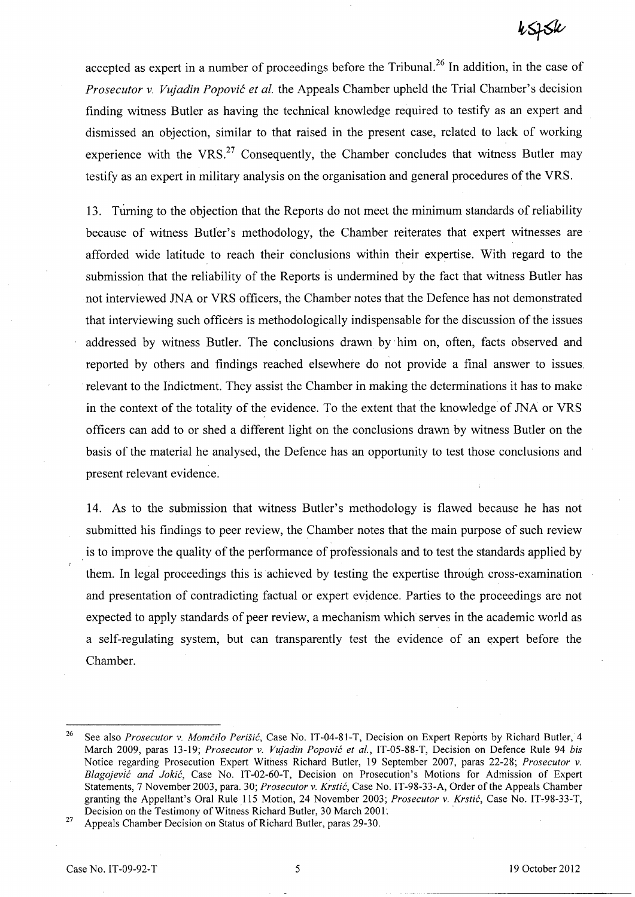accepted as expert in a number of proceedings before the Tribuna1. <sup>26</sup>**In** addition, in the case of *Prosecutor* v. *Vujadin Popovic et al.* the Appeals Chamber upheld the Trial Chamber's decision finding witness Butler as having the technical knowledge required to testify as an expert and dismissed an objection, similar to that raised in the present case, related to lack of working experience with the VRS. $^{27}$  Consequently, the Chamber concludes that witness Butler may testify as an expert in military analysis on the organisation and general procedures of the YRS.

13. Turning to the objection that the Reports do not meet the minimum standards of reliability because of witness Butler's methodology, the Chamber reiterates that expert witnesses are afforded wide latitude to reach their conclusions within their expertise. With regard to the submission that the reliability of the Reports is undermined by the fact that witness Butler has not interviewed JNA or VRS officers, the Chamber notes that the Defence has not demonstrated that interviewing such officers is methodologically indispensable for the discussion of the issues addressed by witness Butler. The conclusions drawn by' him on, often, facts observed and reported by others and findings reached elsewhere do not provide a final answer to issues. relevant to the Indictment. They assist the Chamber in making the determinations it has to make in the context of the totality of the evidence. To the extent that the knowledge of JNA or VRS officers can add to or shed a different light on the conclusions drawn by witness Butler on the basis of the material he analysed, the Defence has an opportunity to test those conclusions and present relevant evidence.

14. As to the submission that witness Butler's methodology is flawed because he has not submitted his findings to peer review, the Chamber notes that the main purpose of such review is to improve the quality of the performance of professionals and to test the standards applied by them. **In** legal proceedings this is achieved by testing the expertise through cross-examination and presentation of contradicting factual or expert evidence. Parties to the proceedings are not expected to apply standards of peer review, a mechanism which serves in the academic world as a self-regulating system, but can transparently test the evidence of an expert before the Chamber.

<sup>26</sup> See also *Prosecutor* v. *Momcilo Perisic,* Case No. IT-04-81-T, Decision on Expert Reports by Richard Butler, 4 March 2009, paras 13-19; *Prosecutor* v. *Vujadin Popovic et al.,* IT-05-88-T, Decision on Defence Rule 94 *bis*  Notice regarding Prosecution Expert Witness Richard Butler, 19 September 2007, paras 22-28; *Prosecutor* v. *Blagojevlc and Jokic,* Case No. IT-02-60-T, Decision on Prosecution's Motions for Admission of Expert Statements, 7 November 2003, para. 30; *Prosecutor* v. *Krstic,* Case No. IT-98-33-A, Order of the Appeals Chamber granting the Appellant's Oral Rule 115 Motion, 24 November 2003; *Prosecutor v. Krstić*, Case No. IT-98-33-T, Decision on the Testimony of Witness Richard Butler, 30 March 2001.

<sup>27</sup> Appeals Chamber Decision on Status of Richard Butler, paras 29-30.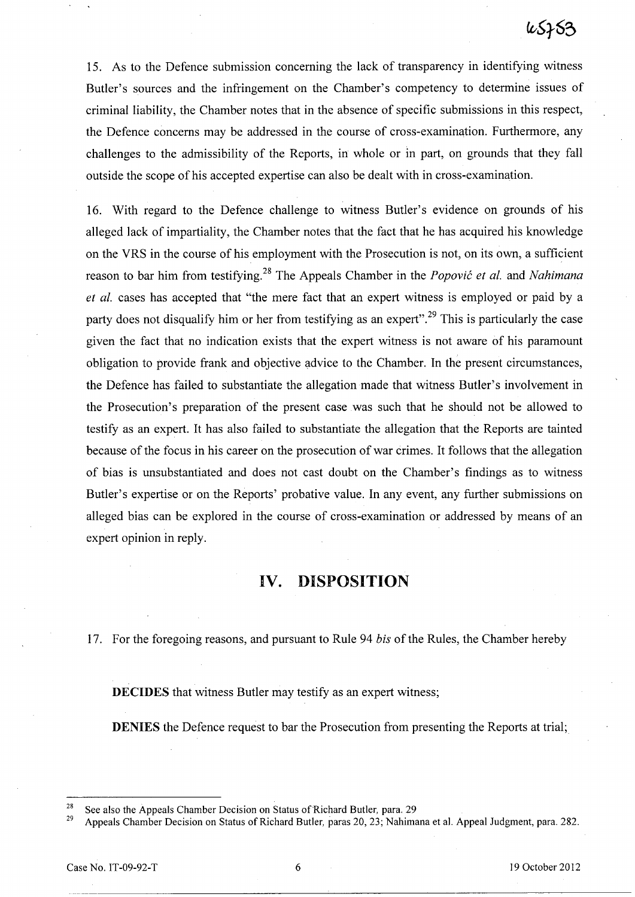15. As to the Defence submission concerning the lack of transparency in identifying witness Butler's sources and the infringement on the Chamber's competency to determine issues of criminal liability, the Chamber notes that in the absence of specific submissions in this respect, the Defence concerns may be addressed in the course of cross-examination. Furthermore, any challenges to the admissibility of the Reports, in. whole or in part, on grounds that they fall outside the scope of his accepted expertise can also be dealt with in cross-examination.

16. With regard to the Defence challenge to witness Butler's evidence on grounds of his alleged lack of impartiality, the Chamber notes that the fact that he has acquired his knowledge on the VRS in the course of his employment with the Prosecution is not, on its own, a sufficient reason to bar him from testifying. 28 The Appeals Chamber in the *Popovic et at.* and *Nahimana et al.* cases has accepted that "the mere fact that an expert witness is employed or paid by a party does not disqualify him or her from testifying as an expert".<sup>29</sup> This is particularly the case given the fact that no indication exists that the expert witness is not aware of his paramount obligation to provide frank and objective advice to the Chamber. In the present circumstances, the Defence has failed to substantiate the allegation made that witness Butler's involvement in the Prosecution's preparation of the present case was such that he should not be allowed to testify as an expert. It has also failed to substantiate the allegation that the Reports are tainted because of the focus in his career on the prosecution of war crimes. It follows that the allegation of bias is unsubstantiated and does not cast doubt on the Chamber's findings as to witness Butler's expertise or on the Reports' probative value. In any event, any further submissions on alleged bias can be explored in the course of cross-examination or addressed by means of an expert opinion in reply.

## **IV. DISPOSITION**

17. For the foregoing reasons, and pursuant to Rule 94 *bis* of the Rules, the Chamber hereby

**DECIDES** that witness Butler may testify as an expert witness;

**DENIES** the Defence request to bar the Prosecution from presenting the Reports at trial;

<sup>&</sup>lt;sup>28</sup> See also the Appeals Chamber Decision on Status of Richard Butler, para. 29<br><sup>29</sup> Annuala Chamber Decision on Status of Bishard Butler, para. 20, 22: Nahima

<sup>29</sup> Appeals Chamber Decision on Status of Richard Butler, paras 20,23; Nahimana et al. Appeal Judgment, para. 282.